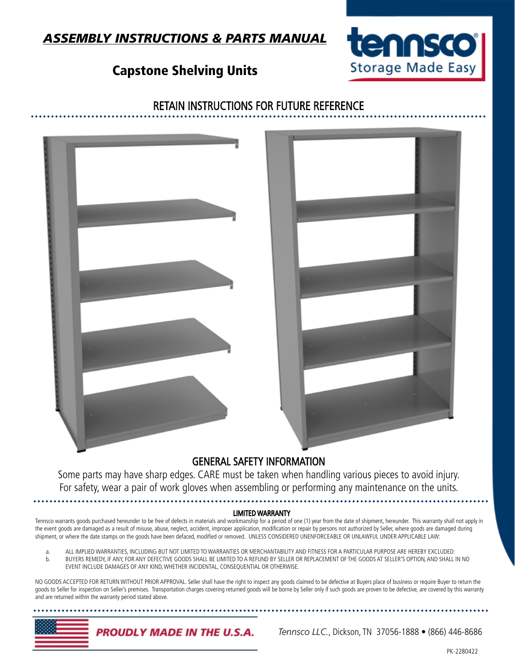*Tennsco LLC.*, Dickson, TN 37056-1888 • (866) 446-8686

## *ASSEMBLY INSTRUCTIONS & PARTS MANUAL*

## Capstone Shelving Units

### RETAIN INSTRUCTIONS FOR FUTURE REFERENCE

## GENERAL SAFETY INFORMATION

Some parts may have sharp edges. CARE must be taken when handling various pieces to avoid injury. For safety, wear a pair of work gloves when assembling or performing any maintenance on the units.

#### LIMITED WARRANTY

Tennsco warrants goods purchased hereunder to be free of defects in materials and workmanship for a period of one (1) year from the date of shipment, hereunder. This warranty shall not apply in the event goods are damaged as a result of misuse, abuse, neglect, accident, improper application, modification or repair by persons not authorized by Seller, where goods are damaged during shipment, or where the date stamps on the goods have been defaced, modified or removed. UNLESS CONSIDERED UNENFORCEABLE OR UNLAWFUL UNDER APPLICABLE LAW:

a. ALL IMPLIED WARRANTIES, INCLUDING BUT NOT LIMITED TO WARRANTIES OR MERCHANTABILITY AND FITNESS FOR A PARTICULAR PURPOSE ARE HEREBY EXCLUDED:<br>b. BUYERS REMEDY, IF ANY, FOR ANY DEFECTIVE GOODS SHALL BE LIMITED TO A REFUND BUYERS REMEDY, IF ANY, FOR ANY DEFECTIVE GOODS SHALL BE LIMITED TO A REFUND BY SELLER OR REPLACEMENT OF THE GOODS AT SELLER'S OPTION, AND SHALL IN NO EVENT INCLUDE DAMAGES OF ANY KIND, WHETHER INCIDENTAL, CONSEQUENTIAL OR OTHERWISE.

NO GOODS ACCEPTED FOR RETURN WITHOUT PRIOR APPROVAL. Seller shall have the right to inspect any goods claimed to be defective at Buyers place of business or require Buyer to return the goods to Seller for inspection on Seller's premises. Transportation charges covering returned goods will be borne by Seller only if such goods are proven to be defective, are covered by this warranty and are returned within the warranty period stated above.







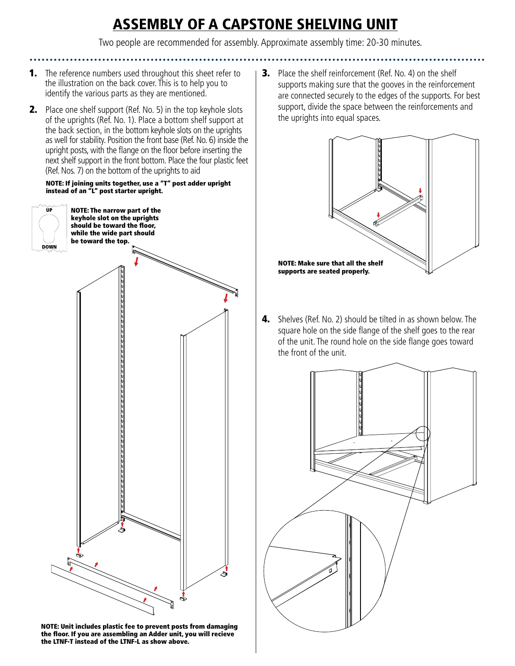# ASSEMBLY OF A CAPSTONE SHELVING UNIT

Two people are recommended for assembly. Approximate assembly time: 20-30 minutes.

- **1.** The reference numbers used throughout this sheet refer to the illustration on the back cover. This is to help you to identify the various parts as they are mentioned.
- **2.** Place one shelf support (Ref. No. 5) in the top keyhole slots of the uprights (Ref. No. 1). Place a bottom shelf support at the back section, in the bottom keyhole slots on the uprights as well for stability. Position the front base (Ref. No. 6) inside the upright posts, with the flange on the floor before inserting the next shelf support in the front bottom. Place the four plastic feet (Ref. Nos. 7) on the bottom of the uprights to aid

#### NOTE: If joining units together, use a "T" post adder upright instead of an "L" post starter upright.



NOTE: Unit includes plastic fee to prevent posts from damaging the floor. If you are assembling an Adder unit, you will recieve the LTNF-T instead of the LTNF-L as show above.

**3.** Place the shelf reinforcement (Ref. No. 4) on the shelf supports making sure that the gooves in the reinforcement are connected securely to the edges of the supports. For best support, divide the space between the reinforcements and the uprights into equal spaces.



4. Shelves (Ref. No. 2) should be tilted in as shown below. The square hole on the side flange of the shelf goes to the rear of the unit. The round hole on the side flange goes toward the front of the unit.

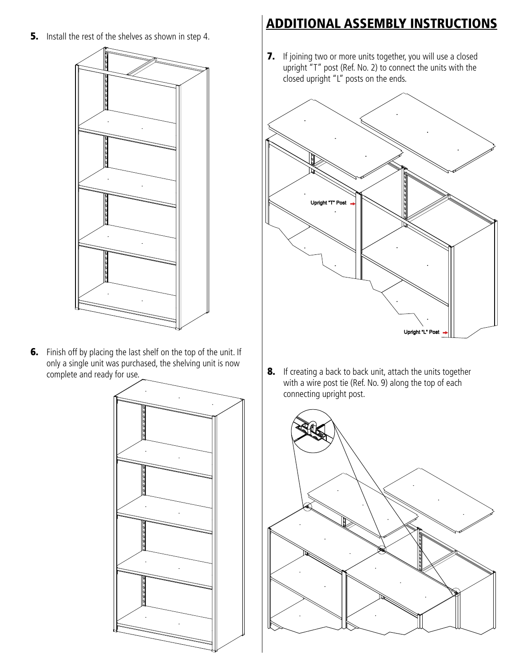**5.** Install the rest of the shelves as shown in step 4.



**6.** Finish off by placing the last shelf on the top of the unit. If only a single unit was purchased, the shelving unit is now complete and ready for use.



## ADDITIONAL ASSEMBLY INSTRUCTIONS

7. If joining two or more units together, you will use a closed upright "T" post (Ref. No. 2) to connect the units with the closed upright "L" posts on the ends.



8. If creating a back to back unit, attach the units together with a wire post tie (Ref. No. 9) along the top of each connecting upright post.